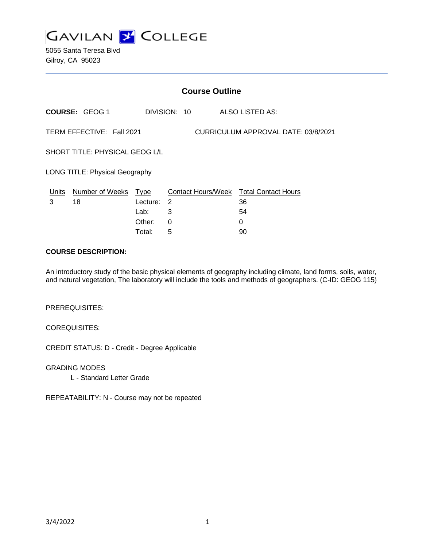

5055 Santa Teresa Blvd Gilroy, CA 95023

|                                                                  | <b>Course Outline</b>      |            |              |  |                                               |
|------------------------------------------------------------------|----------------------------|------------|--------------|--|-----------------------------------------------|
|                                                                  | <b>COURSE: GEOG 1</b>      |            | DIVISION: 10 |  | <b>ALSO LISTED AS:</b>                        |
| TERM EFFECTIVE: Fall 2021<br>CURRICULUM APPROVAL DATE: 03/8/2021 |                            |            |              |  |                                               |
| SHORT TITLE: PHYSICAL GEOG L/L                                   |                            |            |              |  |                                               |
| <b>LONG TITLE: Physical Geography</b>                            |                            |            |              |  |                                               |
|                                                                  | Units Number of Weeks Type |            |              |  | <b>Contact Hours/Week Total Contact Hours</b> |
| 3                                                                | 18                         | Lecture: 2 |              |  | 36                                            |
|                                                                  |                            | Lab:       | 3            |  | 54                                            |
|                                                                  |                            | Other:     | 0            |  | 0                                             |
|                                                                  |                            | Total:     | 5            |  | 90                                            |

#### **COURSE DESCRIPTION:**

An introductory study of the basic physical elements of geography including climate, land forms, soils, water, and natural vegetation, The laboratory will include the tools and methods of geographers. (C-ID: GEOG 115)

PREREQUISITES:

COREQUISITES:

CREDIT STATUS: D - Credit - Degree Applicable

GRADING MODES

L - Standard Letter Grade

REPEATABILITY: N - Course may not be repeated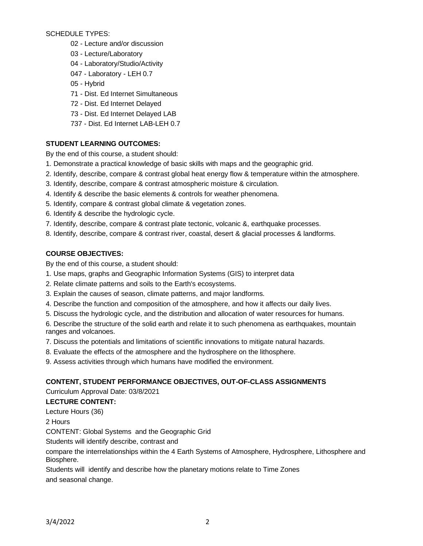SCHEDULE TYPES:

- 02 Lecture and/or discussion
- 03 Lecture/Laboratory
- 04 Laboratory/Studio/Activity
- 047 Laboratory LEH 0.7
- 05 Hybrid
- 71 Dist. Ed Internet Simultaneous
- 72 Dist. Ed Internet Delayed
- 73 Dist. Ed Internet Delayed LAB
- 737 Dist. Ed Internet LAB-LEH 0.7

### **STUDENT LEARNING OUTCOMES:**

By the end of this course, a student should:

- 1. Demonstrate a practical knowledge of basic skills with maps and the geographic grid.
- 2. Identify, describe, compare & contrast global heat energy flow & temperature within the atmosphere.
- 3. Identify, describe, compare & contrast atmospheric moisture & circulation.
- 4. Identify & describe the basic elements & controls for weather phenomena.
- 5. Identify, compare & contrast global climate & vegetation zones.
- 6. Identify & describe the hydrologic cycle.
- 7. Identify, describe, compare & contrast plate tectonic, volcanic &, earthquake processes.
- 8. Identify, describe, compare & contrast river, coastal, desert & glacial processes & landforms.

# **COURSE OBJECTIVES:**

By the end of this course, a student should:

- 1. Use maps, graphs and Geographic Information Systems (GIS) to interpret data
- 2. Relate climate patterns and soils to the Earth's ecosystems.
- 3. Explain the causes of season, climate patterns, and major landforms.
- 4. Describe the function and composition of the atmosphere, and how it affects our daily lives.
- 5. Discuss the hydrologic cycle, and the distribution and allocation of water resources for humans.

6. Describe the structure of the solid earth and relate it to such phenomena as earthquakes, mountain ranges and volcanoes.

- 7. Discuss the potentials and limitations of scientific innovations to mitigate natural hazards.
- 8. Evaluate the effects of the atmosphere and the hydrosphere on the lithosphere.
- 9. Assess activities through which humans have modified the environment.

# **CONTENT, STUDENT PERFORMANCE OBJECTIVES, OUT-OF-CLASS ASSIGNMENTS**

Curriculum Approval Date: 03/8/2021

# **LECTURE CONTENT:**

Lecture Hours (36)

2 Hours

CONTENT: Global Systems and the Geographic Grid

Students will identify describe, contrast and

compare the interrelationships within the 4 Earth Systems of Atmosphere, Hydrosphere, Lithosphere and Biosphere.

Students will identify and describe how the planetary motions relate to Time Zones and seasonal change.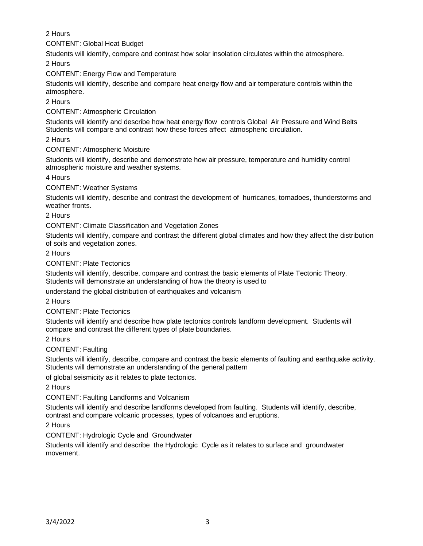2 Hours

CONTENT: Global Heat Budget

Students will identify, compare and contrast how solar insolation circulates within the atmosphere.

2 Hours

CONTENT: Energy Flow and Temperature

Students will identify, describe and compare heat energy flow and air temperature controls within the atmosphere.

2 Hours

CONTENT: Atmospheric Circulation

Students will identify and describe how heat energy flow controls Global Air Pressure and Wind Belts Students will compare and contrast how these forces affect atmospheric circulation.

2 Hours

CONTENT: Atmospheric Moisture

Students will identify, describe and demonstrate how air pressure, temperature and humidity control atmospheric moisture and weather systems.

4 Hours

CONTENT: Weather Systems

Students will identify, describe and contrast the development of hurricanes, tornadoes, thunderstorms and weather fronts.

2 Hours

CONTENT: Climate Classification and Vegetation Zones

Students will identify, compare and contrast the different global climates and how they affect the distribution of soils and vegetation zones.

2 Hours

CONTENT: Plate Tectonics

Students will identify, describe, compare and contrast the basic elements of Plate Tectonic Theory. Students will demonstrate an understanding of how the theory is used to

understand the global distribution of earthquakes and volcanism

2 Hours

CONTENT: Plate Tectonics

Students will identify and describe how plate tectonics controls landform development. Students will compare and contrast the different types of plate boundaries.

2 Hours

CONTENT: Faulting

Students will identify, describe, compare and contrast the basic elements of faulting and earthquake activity. Students will demonstrate an understanding of the general pattern

of global seismicity as it relates to plate tectonics.

2 Hours

CONTENT: Faulting Landforms and Volcanism

Students will identify and describe landforms developed from faulting. Students will identify, describe, contrast and compare volcanic processes, types of volcanoes and eruptions.

2 Hours

CONTENT: Hydrologic Cycle and Groundwater

Students will identify and describe the Hydrologic Cycle as it relates to surface and groundwater movement.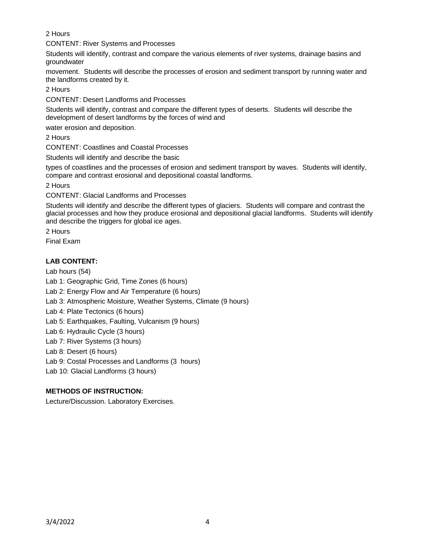2 Hours

CONTENT: River Systems and Processes

Students will identify, contrast and compare the various elements of river systems, drainage basins and groundwater

movement. Students will describe the processes of erosion and sediment transport by running water and the landforms created by it.

2 Hours

CONTENT: Desert Landforms and Processes

Students will identify, contrast and compare the different types of deserts. Students will describe the development of desert landforms by the forces of wind and

water erosion and deposition.

2 Hours

CONTENT: Coastlines and Coastal Processes

Students will identify and describe the basic

types of coastlines and the processes of erosion and sediment transport by waves. Students will identify, compare and contrast erosional and depositional coastal landforms.

2 Hours

CONTENT: Glacial Landforms and Processes

Students will identify and describe the different types of glaciers. Students will compare and contrast the glacial processes and how they produce erosional and depositional glacial landforms. Students will identify and describe the triggers for global ice ages.

2 Hours

Final Exam

# **LAB CONTENT:**

Lab hours (54)

Lab 1: Geographic Grid, Time Zones (6 hours)

Lab 2: Energy Flow and Air Temperature (6 hours)

Lab 3: Atmospheric Moisture, Weather Systems, Climate (9 hours)

Lab 4: Plate Tectonics (6 hours)

Lab 5: Earthquakes, Faulting, Vulcanism (9 hours)

Lab 6: Hydraulic Cycle (3 hours)

Lab 7: River Systems (3 hours)

Lab 8: Desert (6 hours)

Lab 9: Costal Processes and Landforms (3 hours)

Lab 10: Glacial Landforms (3 hours)

# **METHODS OF INSTRUCTION:**

Lecture/Discussion. Laboratory Exercises.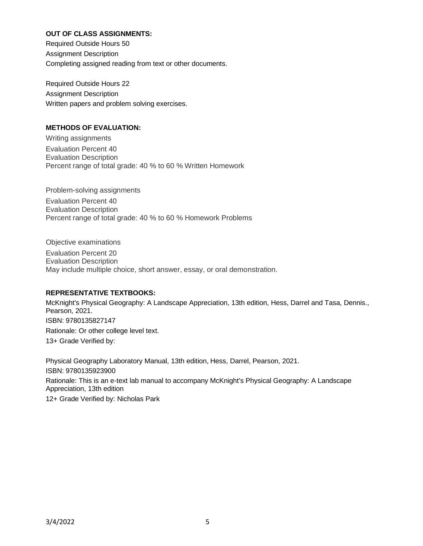### **OUT OF CLASS ASSIGNMENTS:**

Required Outside Hours 50 Assignment Description Completing assigned reading from text or other documents.

Required Outside Hours 22 Assignment Description Written papers and problem solving exercises.

### **METHODS OF EVALUATION:**

Writing assignments Evaluation Percent 40 Evaluation Description Percent range of total grade: 40 % to 60 % Written Homework

Problem-solving assignments Evaluation Percent 40 Evaluation Description Percent range of total grade: 40 % to 60 % Homework Problems

Objective examinations Evaluation Percent 20 Evaluation Description May include multiple choice, short answer, essay, or oral demonstration.

### **REPRESENTATIVE TEXTBOOKS:**

McKnight's Physical Geography: A Landscape Appreciation, 13th edition, Hess, Darrel and Tasa, Dennis., Pearson, 2021. ISBN: 9780135827147 Rationale: Or other college level text. 13+ Grade Verified by:

Physical Geography Laboratory Manual, 13th edition, Hess, Darrel, Pearson, 2021. ISBN: 9780135923900 Rationale: This is an e-text lab manual to accompany McKnight's Physical Geography: A Landscape Appreciation, 13th edition 12+ Grade Verified by: Nicholas Park